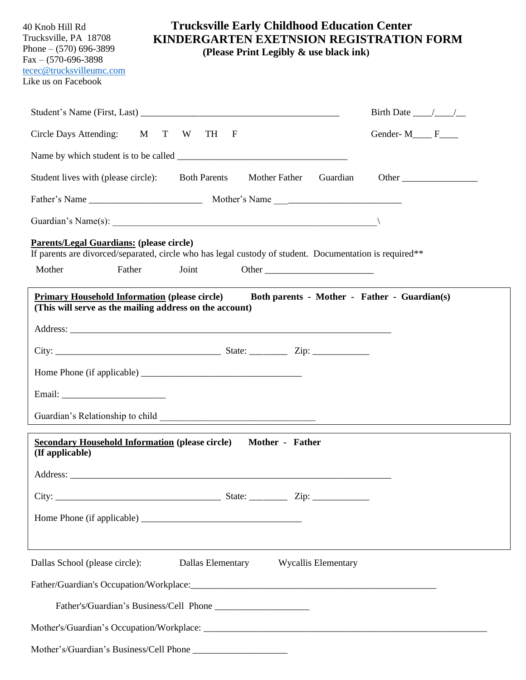40 Knob Hill Rd Trucksville, PA 18708 Phone – (570) 696-3899 Fax – (570-696-3898 [tecec@trucksvilleumc.com](mailto:tecec@trucksvilleumc.com) Like us on Facebook

## **Trucksville Early Childhood Education Center KINDERGARTEN EXETNSION REGISTRATION FORM**

 **(Please Print Legibly & use black ink)**

|                                                                                                                                                            |                                                                                   |       |                                       |  |          | Birth Date $\_\_\_\_\_\_\_\_\_\_\$           |  |  |
|------------------------------------------------------------------------------------------------------------------------------------------------------------|-----------------------------------------------------------------------------------|-------|---------------------------------------|--|----------|----------------------------------------------|--|--|
| Circle Days Attending: M T W                                                                                                                               |                                                                                   | TH    | $\mathbf{F}$                          |  |          | Gender-M <sub>____</sub> F___                |  |  |
|                                                                                                                                                            |                                                                                   |       |                                       |  |          |                                              |  |  |
| Student lives with (please circle): Both Parents                                                                                                           |                                                                                   |       | Mother Father                         |  | Guardian | Other                                        |  |  |
|                                                                                                                                                            |                                                                                   |       |                                       |  |          |                                              |  |  |
| Guardian's Name(s): $\qquad \qquad$                                                                                                                        |                                                                                   |       |                                       |  |          |                                              |  |  |
| <b>Parents/Legal Guardians: (please circle)</b><br>If parents are divorced/separated, circle who has legal custody of student. Documentation is required** |                                                                                   |       |                                       |  |          |                                              |  |  |
| Mother                                                                                                                                                     | Father                                                                            | Joint |                                       |  |          |                                              |  |  |
| <b>Primary Household Information (please circle)</b><br>(This will serve as the mailing address on the account)                                            |                                                                                   |       |                                       |  |          | Both parents - Mother - Father - Guardian(s) |  |  |
|                                                                                                                                                            |                                                                                   |       |                                       |  |          |                                              |  |  |
|                                                                                                                                                            |                                                                                   |       |                                       |  |          |                                              |  |  |
|                                                                                                                                                            |                                                                                   |       |                                       |  |          |                                              |  |  |
|                                                                                                                                                            |                                                                                   |       |                                       |  |          |                                              |  |  |
|                                                                                                                                                            |                                                                                   |       |                                       |  |          |                                              |  |  |
| <b>Secondary Household Information (please circle)</b> Mother - Father<br>(If applicable)                                                                  |                                                                                   |       |                                       |  |          |                                              |  |  |
|                                                                                                                                                            |                                                                                   |       |                                       |  |          |                                              |  |  |
|                                                                                                                                                            |                                                                                   |       |                                       |  |          |                                              |  |  |
|                                                                                                                                                            |                                                                                   |       |                                       |  |          |                                              |  |  |
|                                                                                                                                                            | ,我们也不能会有什么。""我们的人,我们也不能会有什么?""我们的人,我们也不能会有什么?""我们的人,我们也不能会有什么?""我们的人,我们也不能会有什么?"" |       |                                       |  |          |                                              |  |  |
| Dallas School (please circle):                                                                                                                             |                                                                                   |       | Dallas Elementary Wycallis Elementary |  |          |                                              |  |  |
|                                                                                                                                                            |                                                                                   |       |                                       |  |          |                                              |  |  |
|                                                                                                                                                            |                                                                                   |       |                                       |  |          |                                              |  |  |
|                                                                                                                                                            |                                                                                   |       |                                       |  |          |                                              |  |  |
|                                                                                                                                                            |                                                                                   |       |                                       |  |          |                                              |  |  |